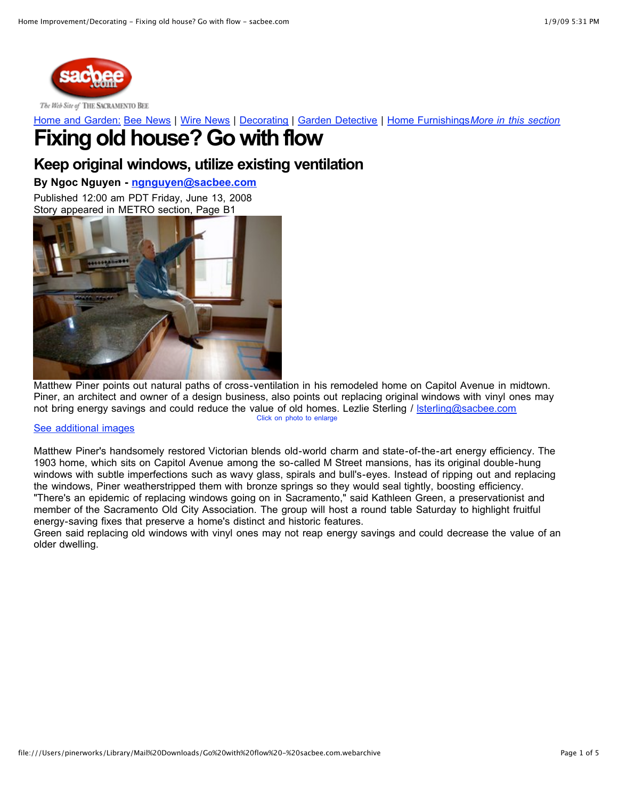

The Web Site of THE SACRAMENTO BEE

Home and [Garden:](http://www.sacbee.com/165/index.html) Bee [News](http://www.sacbee.com/165/index.html) | Wire [News](http://www.sacbee.com/850/index.html) | [Decorating](http://www.sacbee.com/169/index.html) | Garden [Detective](http://www.sacbee.com/167/index.html) | Home [Furnishings](http://www.sacbee.com/266/index.html)*More in this [section](http://www.sacbee.com/169/index.html)*

# **Fixing old house? Go with flow**

### **Keep original windows, utilize existing ventilation**

### **By Ngoc Nguyen - [ngnguyen@sacbee.com](mailto:ngnguyen@sacbee.com)**

Published 12:00 am PDT Friday, June 13, 2008 Story appeared in METRO section, Page B1



Matthew Piner points out natural paths of cross-ventilation in his remodeled home on Capitol Avenue in midtown. Piner, an architect and owner of a design business, also points out replacing original windows with vinyl ones may not bring energy savings and could reduce the value of old homes. Lezlie Sterling / [lsterling@sacbee.com](mailto:lsterling@sacbee.com) Click on photo to [enlarge](http://media.sacbee.com/smedia/2008/06/12/20/743-5M13OLDHOUSE.standalone.prod_affiliate.4.JPG)

### See [additional](http://www.sacbee.com/169/story/1010810.html#more_images) images

Matthew Piner's handsomely restored Victorian blends old-world charm and state-of-the-art energy efficiency. The 1903 home, which sits on Capitol Avenue among the so-called M Street mansions, has its original double-hung windows with subtle imperfections such as wavy glass, spirals and bull's-eyes. Instead of ripping out and replacing the windows, Piner weatherstripped them with bronze springs so they would seal tightly, boosting efficiency. "There's an epidemic of replacing windows going on in Sacramento," said Kathleen Green, a preservationist and member of the Sacramento Old City Association. The group will host a round table Saturday to highlight fruitful energy-saving fixes that preserve a home's distinct and historic features.

Green said replacing old windows with vinyl ones may not reap energy savings and could decrease the value of an older dwelling.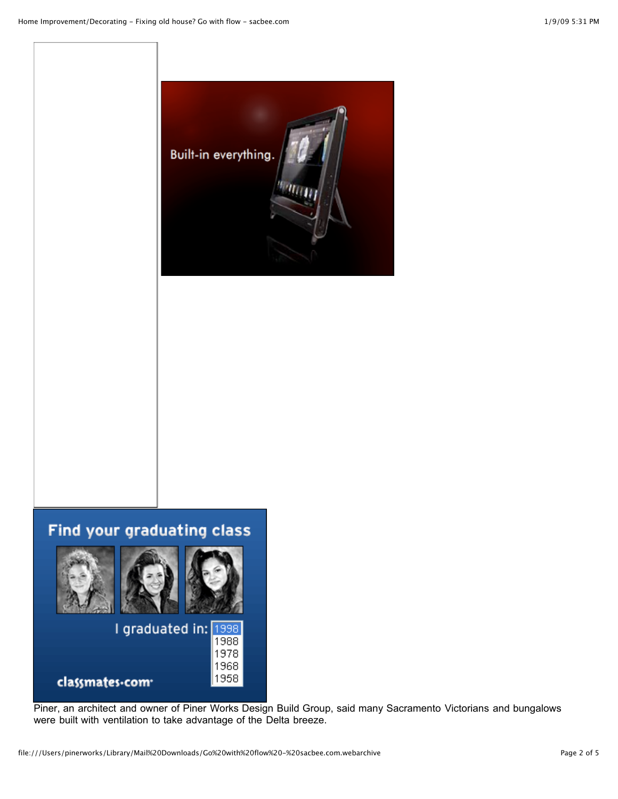

## Find your graduating class



Piner, an architect and owner of Piner Works Design Build Group, said many Sacramento Victorians and bungalows were built with ventilation to take advantage of the Delta breeze.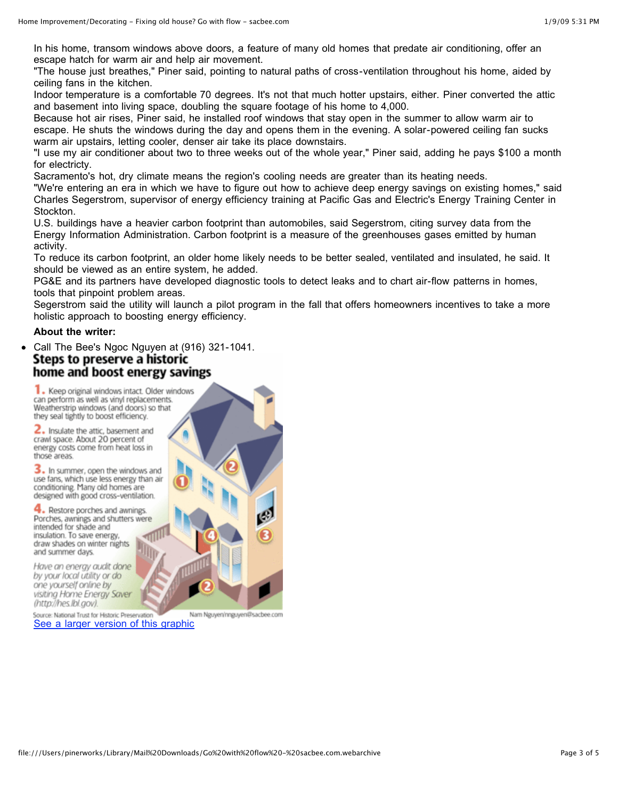In his home, transom windows above doors, a feature of many old homes that predate air conditioning, offer an escape hatch for warm air and help air movement.

"The house just breathes," Piner said, pointing to natural paths of cross-ventilation throughout his home, aided by ceiling fans in the kitchen.

Indoor temperature is a comfortable 70 degrees. It's not that much hotter upstairs, either. Piner converted the attic and basement into living space, doubling the square footage of his home to 4,000.

Because hot air rises, Piner said, he installed roof windows that stay open in the summer to allow warm air to escape. He shuts the windows during the day and opens them in the evening. A solar-powered ceiling fan sucks warm air upstairs, letting cooler, denser air take its place downstairs.

"I use my air conditioner about two to three weeks out of the whole year," Piner said, adding he pays \$100 a month for electricty.

Sacramento's hot, dry climate means the region's cooling needs are greater than its heating needs.

"We're entering an era in which we have to figure out how to achieve deep energy savings on existing homes," said Charles Segerstrom, supervisor of energy efficiency training at Pacific Gas and Electric's Energy Training Center in Stockton.

U.S. buildings have a heavier carbon footprint than automobiles, said Segerstrom, citing survey data from the Energy Information Administration. Carbon footprint is a measure of the greenhouses gases emitted by human activity.

To reduce its carbon footprint, an older home likely needs to be better sealed, ventilated and insulated, he said. It should be viewed as an entire system, he added.

PG&E and its partners have developed diagnostic tools to detect leaks and to chart air-flow patterns in homes, tools that pinpoint problem areas.

Segerstrom said the utility will launch a pilot program in the fall that offers homeowners incentives to take a more holistic approach to boosting energy efficiency.

#### **About the writer:**

Call The Bee's Ngoc Nguyen at (916) 321-1041. Steps to preserve a historic home and boost energy savings

1. Keep original windows intact. Older windows can perform as well as vinyl replacements. Weatherstrip windows (and doors) so that they seal tightly to boost efficiency.

2. Insulate the attic, basement and crawl space. About 20 percent of energy costs come from heat loss in those areas.

3. In summer, open the windows and use fans, which use less energy than air conditioning. Many old homes are designed with good cross-ventilation.

4. Restore porches and awnings. Porches, awnings and shutters were intended for shade and insulation. To save energy, draw shades on winter nights and summer days.

Have an energy audit done by your local utility or do one yourself online by visiting Home Energy Saver (http://hes.lbl.gov).

Source: National Trust for Historic Preservatio Nam Nguyen/nnguyen@sacbee.com See a larger version of this [graphic](http://media.sacbee.com/smedia/2008/06/12/18/35-5M13OLDHOUSE.xlgraphic.prod_affiliate.4.gif)

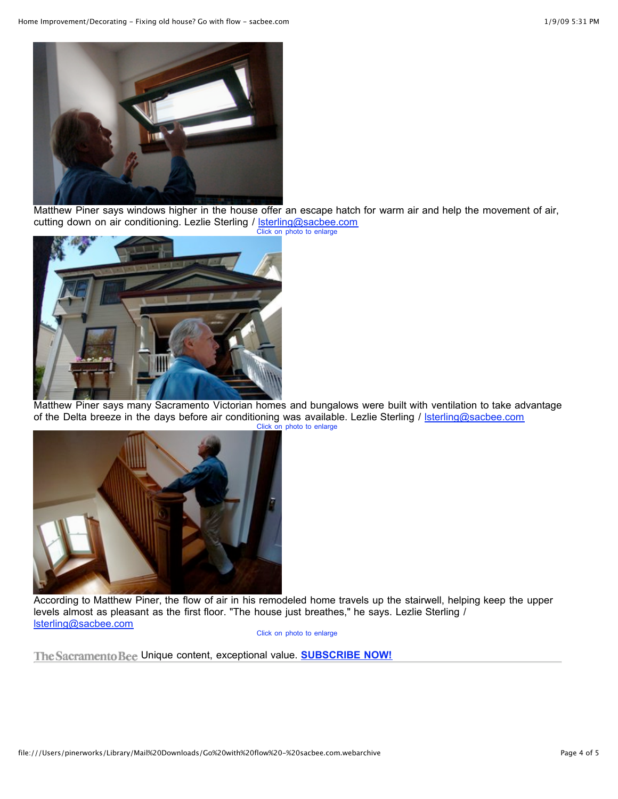

Matthew Piner says windows higher in the house offer an escape hatch for warm air and help the movement of air, cutting down on air conditioning. Lezlie Sterling / **sterling@sacbee.com** Click on photo to [enlarge](http://media.sacbee.com/smedia/2008/06/12/23/199-LS_OLDHOUSE_3.standalone.prod_affiliate.4.JPG)



Matthew Piner says many Sacramento Victorian homes and bungalows were built with ventilation to take advantage of the Delta breeze in the days before air conditioning was available. Lezlie Sterling / [lsterling@sacbee.com](mailto:lsterling@sacbee.com) Click on photo to [enlarge](http://media.sacbee.com/smedia/2008/06/12/21/264-5M13PINER.standalone.prod_affiliate.4.JPG)



According to Matthew Piner, the flow of air in his remodeled home travels up the stairwell, helping keep the upper levels almost as pleasant as the first floor. "The house just breathes," he says. Lezlie Sterling / [lsterling@sacbee.com](mailto:lsterling@sacbee.com)

Click on photo to [enlarge](http://media.sacbee.com/smedia/2008/06/12/21/323-5M13STAIRS.standalone.prod_affiliate.4.JPG)

The Sacramento Bee Unique content, exceptional value. **[SUBSCRIBE](http://ads.sacbee.com/RealMedia/ads/click_lx.ads/www.sacbee.com/matttest/1989495226/sacbeetracking/Sacbee/circ_txt_nw_hist/empty5.gif/63653662633766653431313363393330) NOW!**